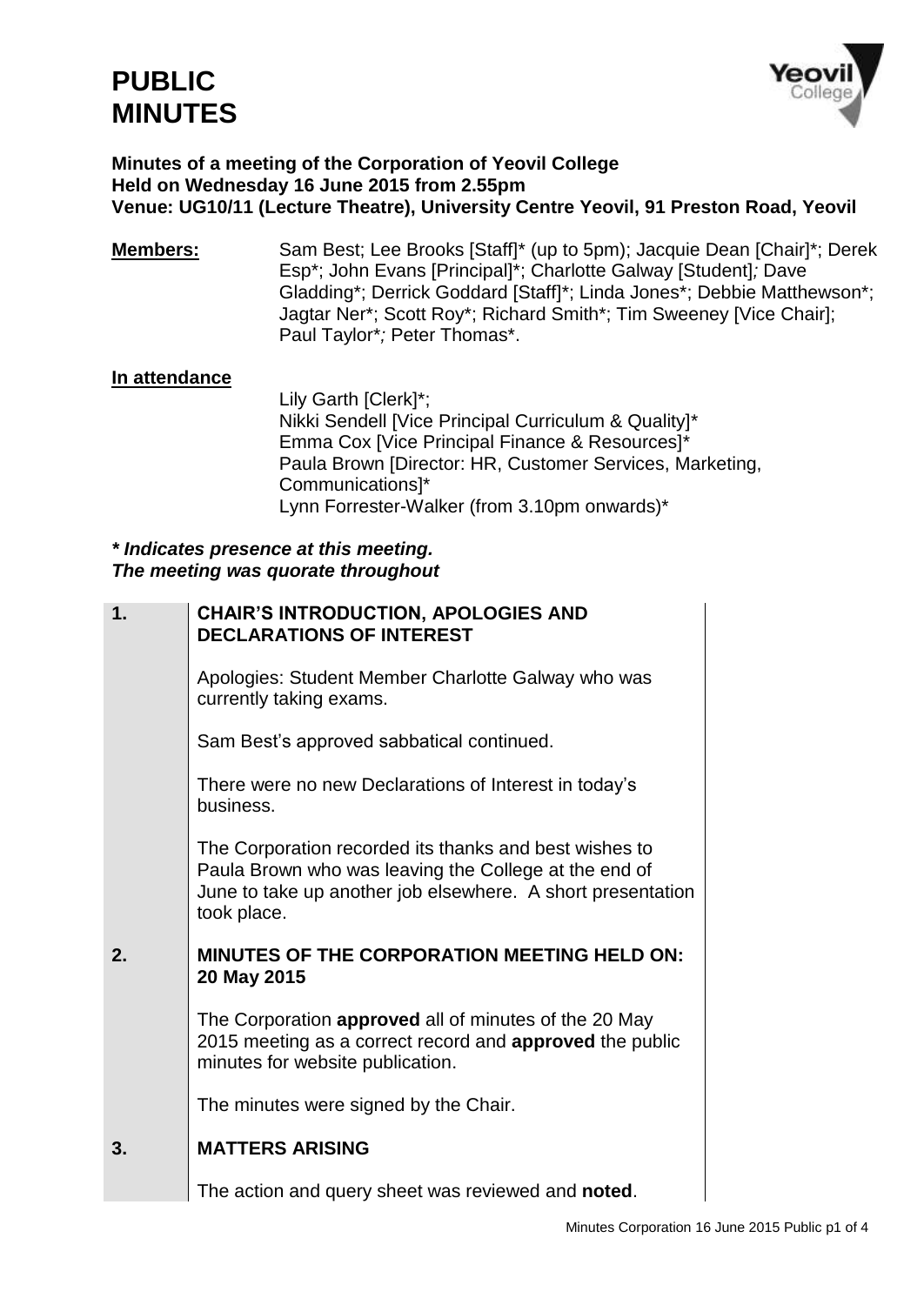

#### **Minutes of a meeting of the Corporation of Yeovil College Held on Wednesday 16 June 2015 from 2.55pm Venue: UG10/11 (Lecture Theatre), University Centre Yeovil, 91 Preston Road, Yeovil**

**Members:** Sam Best; Lee Brooks [Staff]\* (up to 5pm); Jacquie Dean [Chair]\*; Derek Esp\*; John Evans [Principal]\*; Charlotte Galway [Student]*;* Dave Gladding\*; Derrick Goddard [Staff]\*; Linda Jones\*; Debbie Matthewson\*; Jagtar Ner\*; Scott Roy\*; Richard Smith\*; Tim Sweeney [Vice Chair]; Paul Taylor\**;* Peter Thomas\*.

#### **In attendance**

Lily Garth [Clerk]\*; Nikki Sendell [Vice Principal Curriculum & Quality]\* Emma Cox [Vice Principal Finance & Resources]\* Paula Brown [Director: HR, Customer Services, Marketing, Communications]\* Lynn Forrester-Walker (from 3.10pm onwards)\*

#### *\* Indicates presence at this meeting. The meeting was quorate throughout*

| 1. | CHAIR'S INTRODUCTION, APOLOGIES AND<br><b>DECLARATIONS OF INTEREST</b>                                                                                                                        |
|----|-----------------------------------------------------------------------------------------------------------------------------------------------------------------------------------------------|
|    | Apologies: Student Member Charlotte Galway who was<br>currently taking exams.                                                                                                                 |
|    | Sam Best's approved sabbatical continued.                                                                                                                                                     |
|    | There were no new Declarations of Interest in today's<br>business.                                                                                                                            |
|    | The Corporation recorded its thanks and best wishes to<br>Paula Brown who was leaving the College at the end of<br>June to take up another job elsewhere. A short presentation<br>took place. |
| 2. | <b>MINUTES OF THE CORPORATION MEETING HELD ON:</b><br>20 May 2015                                                                                                                             |
|    | The Corporation approved all of minutes of the 20 May<br>2015 meeting as a correct record and approved the public<br>minutes for website publication.                                         |
|    | The minutes were signed by the Chair.                                                                                                                                                         |
| 3. | <b>MATTERS ARISING</b>                                                                                                                                                                        |
|    | The action and query sheet was reviewed and noted.                                                                                                                                            |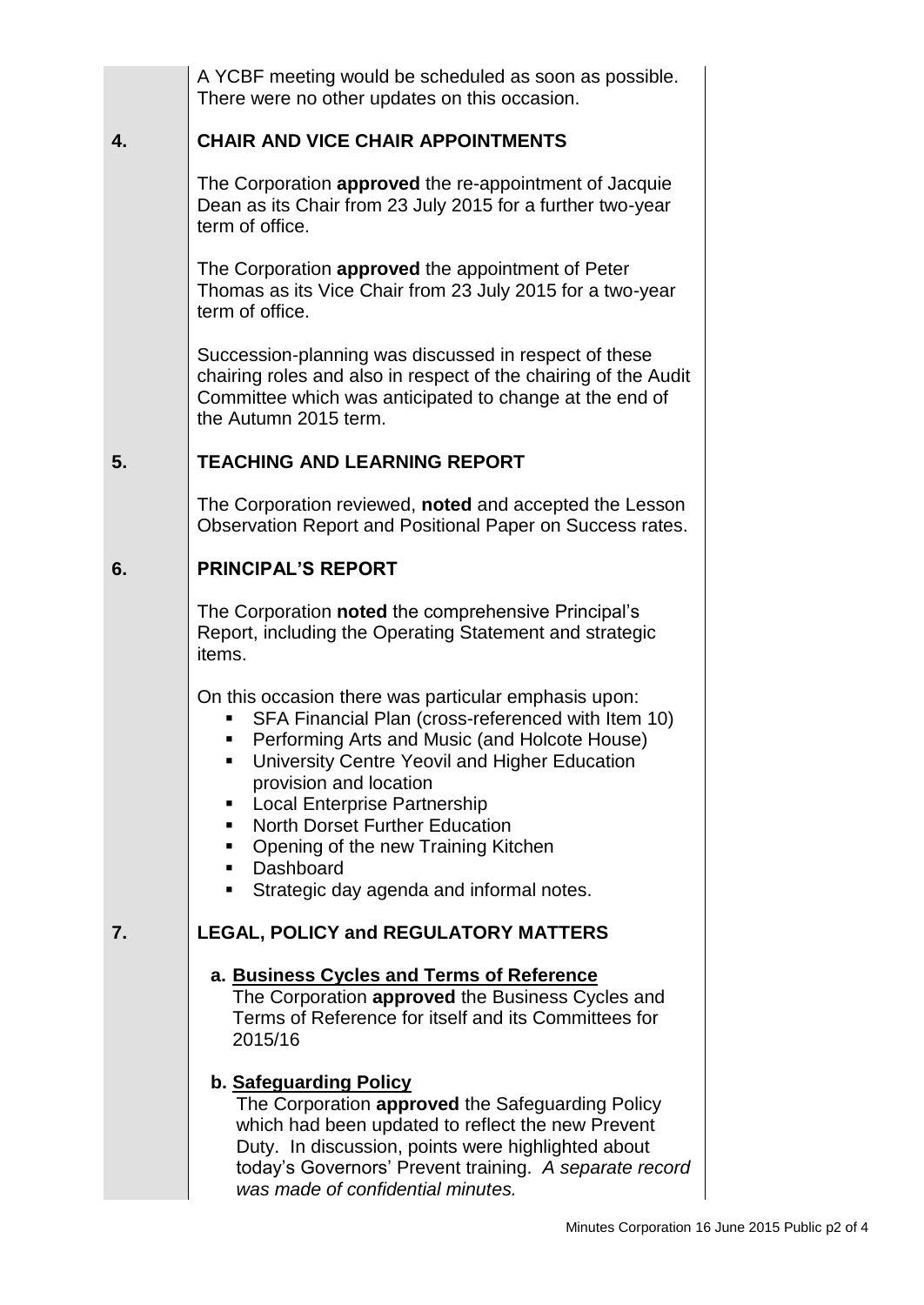|    | A YCBF meeting would be scheduled as soon as possible.<br>There were no other updates on this occasion.                                                                                                                                                                                                                                                                                                                          |
|----|----------------------------------------------------------------------------------------------------------------------------------------------------------------------------------------------------------------------------------------------------------------------------------------------------------------------------------------------------------------------------------------------------------------------------------|
| 4. | <b>CHAIR AND VICE CHAIR APPOINTMENTS</b>                                                                                                                                                                                                                                                                                                                                                                                         |
|    | The Corporation approved the re-appointment of Jacquie<br>Dean as its Chair from 23 July 2015 for a further two-year<br>term of office.                                                                                                                                                                                                                                                                                          |
|    | The Corporation approved the appointment of Peter<br>Thomas as its Vice Chair from 23 July 2015 for a two-year<br>term of office.                                                                                                                                                                                                                                                                                                |
|    | Succession-planning was discussed in respect of these<br>chairing roles and also in respect of the chairing of the Audit<br>Committee which was anticipated to change at the end of<br>the Autumn 2015 term.                                                                                                                                                                                                                     |
| 5. | <b>TEACHING AND LEARNING REPORT</b>                                                                                                                                                                                                                                                                                                                                                                                              |
|    | The Corporation reviewed, noted and accepted the Lesson<br>Observation Report and Positional Paper on Success rates.                                                                                                                                                                                                                                                                                                             |
| 6. | <b>PRINCIPAL'S REPORT</b>                                                                                                                                                                                                                                                                                                                                                                                                        |
|    | The Corporation noted the comprehensive Principal's<br>Report, including the Operating Statement and strategic<br>items.                                                                                                                                                                                                                                                                                                         |
|    | On this occasion there was particular emphasis upon:<br>SFA Financial Plan (cross-referenced with Item 10)<br>Performing Arts and Music (and Holcote House)<br>University Centre Yeovil and Higher Education<br>provision and location<br><b>Local Enterprise Partnership</b><br><b>North Dorset Further Education</b><br>٠<br>Opening of the new Training Kitchen<br>Dashboard<br>Strategic day agenda and informal notes.<br>٠ |
| 7. | <b>LEGAL, POLICY and REGULATORY MATTERS</b>                                                                                                                                                                                                                                                                                                                                                                                      |
|    | a. Business Cycles and Terms of Reference<br>The Corporation <b>approved</b> the Business Cycles and<br>Terms of Reference for itself and its Committees for<br>2015/16                                                                                                                                                                                                                                                          |
|    | b. Safeguarding Policy<br>The Corporation approved the Safeguarding Policy<br>which had been updated to reflect the new Prevent<br>Duty. In discussion, points were highlighted about<br>today's Governors' Prevent training. A separate record<br>was made of confidential minutes.                                                                                                                                             |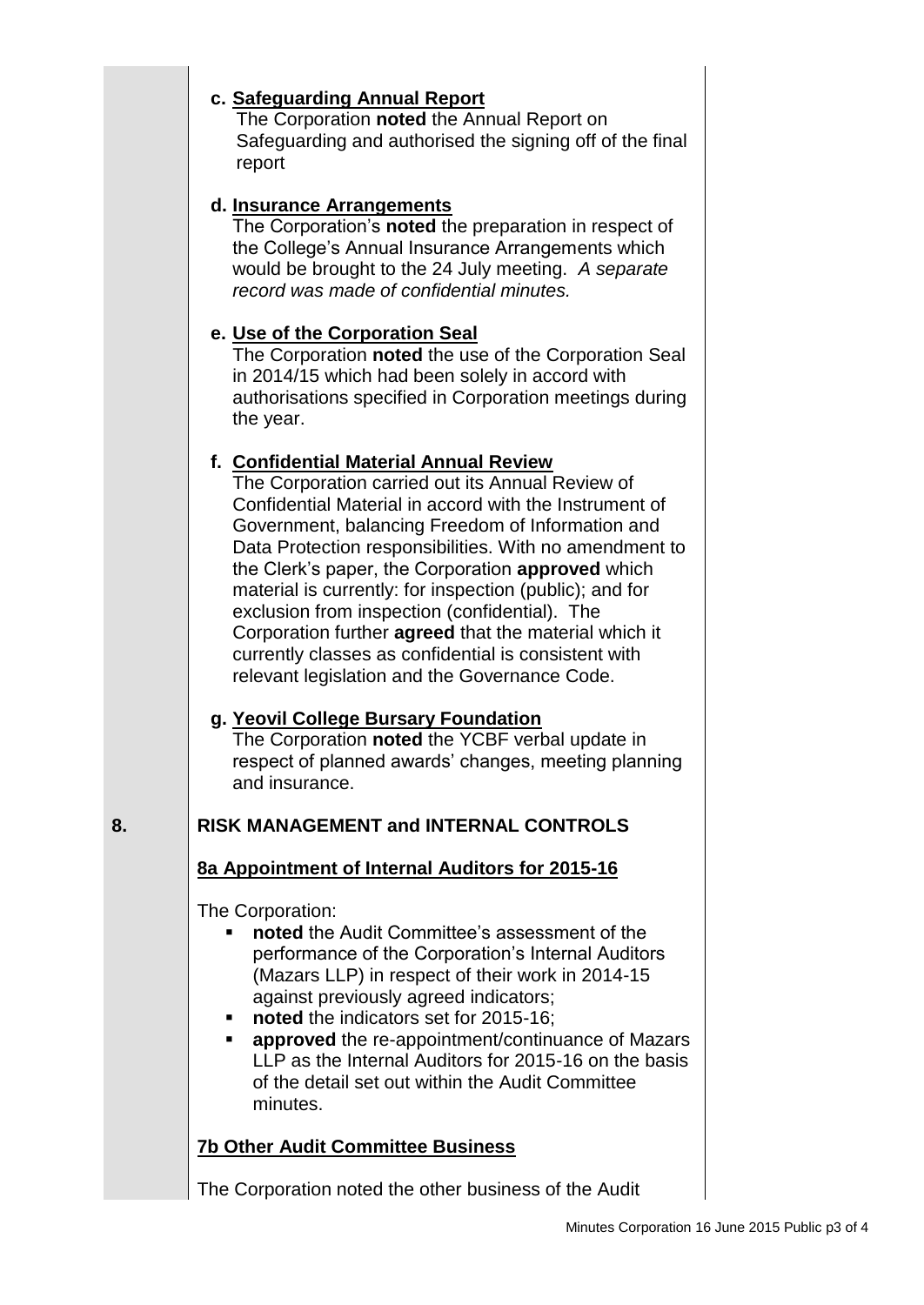## **c. Safeguarding Annual Report**

The Corporation **noted** the Annual Report on Safeguarding and authorised the signing off of the final report

## **d. Insurance Arrangements**

The Corporation's **noted** the preparation in respect of the College's Annual Insurance Arrangements which would be brought to the 24 July meeting. *A separate record was made of confidential minutes.*

## **e. Use of the Corporation Seal**

The Corporation **noted** the use of the Corporation Seal in 2014/15 which had been solely in accord with authorisations specified in Corporation meetings during the year.

## **f. Confidential Material Annual Review**

The Corporation carried out its Annual Review of Confidential Material in accord with the Instrument of Government, balancing Freedom of Information and Data Protection responsibilities. With no amendment to the Clerk's paper, the Corporation **approved** which material is currently: for inspection (public); and for exclusion from inspection (confidential). The Corporation further **agreed** that the material which it currently classes as confidential is consistent with relevant legislation and the Governance Code.

# **g. Yeovil College Bursary Foundation**

The Corporation **noted** the YCBF verbal update in respect of planned awards' changes, meeting planning and insurance.

# **8. RISK MANAGEMENT and INTERNAL CONTROLS**

# **8a Appointment of Internal Auditors for 2015-16**

The Corporation:

- **noted** the Audit Committee's assessment of the performance of the Corporation's Internal Auditors (Mazars LLP) in respect of their work in 2014-15 against previously agreed indicators;
- **noted** the indicators set for 2015-16:
- **approved** the re-appointment/continuance of Mazars LLP as the Internal Auditors for 2015-16 on the basis of the detail set out within the Audit Committee minutes.

# **7b Other Audit Committee Business**

The Corporation noted the other business of the Audit